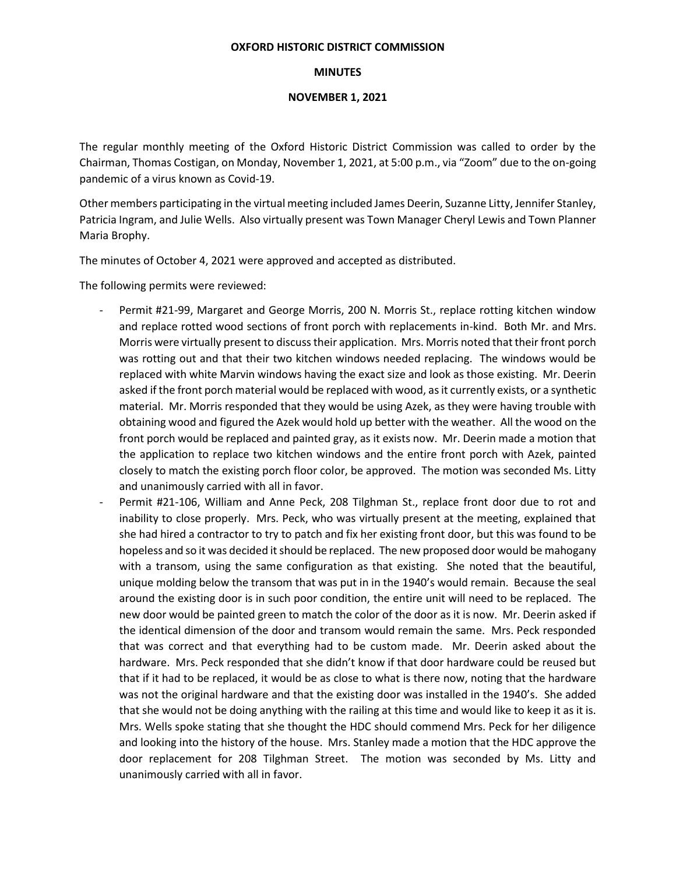## **OXFORD HISTORIC DISTRICT COMMISSION**

## **MINUTES**

## **NOVEMBER 1, 2021**

The regular monthly meeting of the Oxford Historic District Commission was called to order by the Chairman, Thomas Costigan, on Monday, November 1, 2021, at 5:00 p.m., via "Zoom" due to the on-going pandemic of a virus known as Covid-19.

Other members participating in the virtual meeting included James Deerin, Suzanne Litty, Jennifer Stanley, Patricia Ingram, and Julie Wells. Also virtually present was Town Manager Cheryl Lewis and Town Planner Maria Brophy.

The minutes of October 4, 2021 were approved and accepted as distributed.

The following permits were reviewed:

- Permit #21-99, Margaret and George Morris, 200 N. Morris St., replace rotting kitchen window and replace rotted wood sections of front porch with replacements in-kind. Both Mr. and Mrs. Morris were virtually present to discuss their application. Mrs. Morris noted that their front porch was rotting out and that their two kitchen windows needed replacing. The windows would be replaced with white Marvin windows having the exact size and look as those existing. Mr. Deerin asked if the front porch material would be replaced with wood, as it currently exists, or a synthetic material. Mr. Morris responded that they would be using Azek, as they were having trouble with obtaining wood and figured the Azek would hold up better with the weather. All the wood on the front porch would be replaced and painted gray, as it exists now. Mr. Deerin made a motion that the application to replace two kitchen windows and the entire front porch with Azek, painted closely to match the existing porch floor color, be approved. The motion was seconded Ms. Litty and unanimously carried with all in favor.
- Permit #21-106, William and Anne Peck, 208 Tilghman St., replace front door due to rot and inability to close properly. Mrs. Peck, who was virtually present at the meeting, explained that she had hired a contractor to try to patch and fix her existing front door, but this was found to be hopeless and so it was decided it should be replaced. The new proposed door would be mahogany with a transom, using the same configuration as that existing. She noted that the beautiful, unique molding below the transom that was put in in the 1940's would remain. Because the seal around the existing door is in such poor condition, the entire unit will need to be replaced. The new door would be painted green to match the color of the door as it is now. Mr. Deerin asked if the identical dimension of the door and transom would remain the same. Mrs. Peck responded that was correct and that everything had to be custom made. Mr. Deerin asked about the hardware. Mrs. Peck responded that she didn't know if that door hardware could be reused but that if it had to be replaced, it would be as close to what is there now, noting that the hardware was not the original hardware and that the existing door was installed in the 1940's. She added that she would not be doing anything with the railing at this time and would like to keep it as it is. Mrs. Wells spoke stating that she thought the HDC should commend Mrs. Peck for her diligence and looking into the history of the house. Mrs. Stanley made a motion that the HDC approve the door replacement for 208 Tilghman Street. The motion was seconded by Ms. Litty and unanimously carried with all in favor.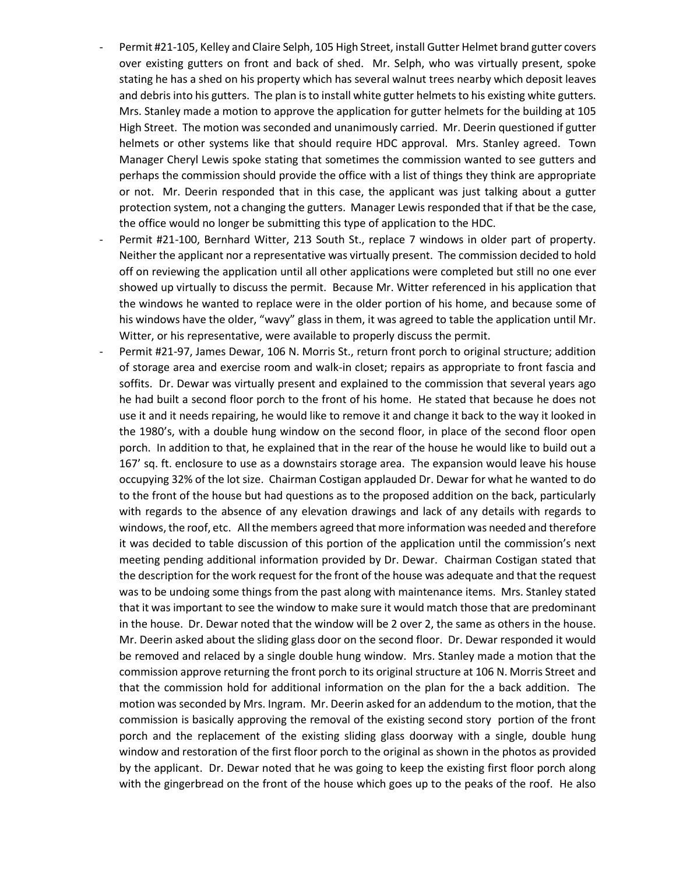- Permit #21-105, Kelley and Claire Selph, 105 High Street, install Gutter Helmet brand gutter covers over existing gutters on front and back of shed. Mr. Selph, who was virtually present, spoke stating he has a shed on his property which has several walnut trees nearby which deposit leaves and debris into his gutters. The plan is to install white gutter helmets to his existing white gutters. Mrs. Stanley made a motion to approve the application for gutter helmets for the building at 105 High Street. The motion was seconded and unanimously carried. Mr. Deerin questioned if gutter helmets or other systems like that should require HDC approval. Mrs. Stanley agreed. Town Manager Cheryl Lewis spoke stating that sometimes the commission wanted to see gutters and perhaps the commission should provide the office with a list of things they think are appropriate or not. Mr. Deerin responded that in this case, the applicant was just talking about a gutter protection system, not a changing the gutters. Manager Lewis responded that if that be the case, the office would no longer be submitting this type of application to the HDC.
- Permit #21-100, Bernhard Witter, 213 South St., replace 7 windows in older part of property. Neither the applicant nor a representative was virtually present. The commission decided to hold off on reviewing the application until all other applications were completed but still no one ever showed up virtually to discuss the permit. Because Mr. Witter referenced in his application that the windows he wanted to replace were in the older portion of his home, and because some of his windows have the older, "wavy" glass in them, it was agreed to table the application until Mr. Witter, or his representative, were available to properly discuss the permit.
- Permit #21-97, James Dewar, 106 N. Morris St., return front porch to original structure; addition of storage area and exercise room and walk-in closet; repairs as appropriate to front fascia and soffits. Dr. Dewar was virtually present and explained to the commission that several years ago he had built a second floor porch to the front of his home. He stated that because he does not use it and it needs repairing, he would like to remove it and change it back to the way it looked in the 1980's, with a double hung window on the second floor, in place of the second floor open porch. In addition to that, he explained that in the rear of the house he would like to build out a 167' sq. ft. enclosure to use as a downstairs storage area. The expansion would leave his house occupying 32% of the lot size. Chairman Costigan applauded Dr. Dewar for what he wanted to do to the front of the house but had questions as to the proposed addition on the back, particularly with regards to the absence of any elevation drawings and lack of any details with regards to windows, the roof, etc. All the members agreed that more information was needed and therefore it was decided to table discussion of this portion of the application until the commission's next meeting pending additional information provided by Dr. Dewar. Chairman Costigan stated that the description for the work request for the front of the house was adequate and that the request was to be undoing some things from the past along with maintenance items. Mrs. Stanley stated that it was important to see the window to make sure it would match those that are predominant in the house. Dr. Dewar noted that the window will be 2 over 2, the same as others in the house. Mr. Deerin asked about the sliding glass door on the second floor. Dr. Dewar responded it would be removed and relaced by a single double hung window. Mrs. Stanley made a motion that the commission approve returning the front porch to its original structure at 106 N. Morris Street and that the commission hold for additional information on the plan for the a back addition. The motion was seconded by Mrs. Ingram. Mr. Deerin asked for an addendum to the motion, that the commission is basically approving the removal of the existing second story portion of the front porch and the replacement of the existing sliding glass doorway with a single, double hung window and restoration of the first floor porch to the original as shown in the photos as provided by the applicant. Dr. Dewar noted that he was going to keep the existing first floor porch along with the gingerbread on the front of the house which goes up to the peaks of the roof. He also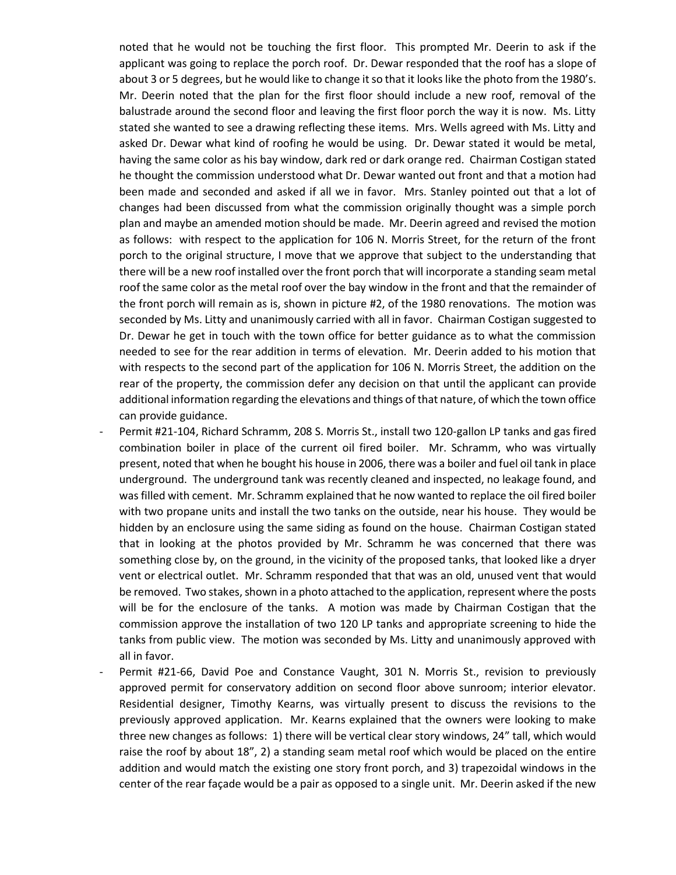noted that he would not be touching the first floor. This prompted Mr. Deerin to ask if the applicant was going to replace the porch roof. Dr. Dewar responded that the roof has a slope of about 3 or 5 degrees, but he would like to change it so that it looks like the photo from the 1980's. Mr. Deerin noted that the plan for the first floor should include a new roof, removal of the balustrade around the second floor and leaving the first floor porch the way it is now. Ms. Litty stated she wanted to see a drawing reflecting these items. Mrs. Wells agreed with Ms. Litty and asked Dr. Dewar what kind of roofing he would be using. Dr. Dewar stated it would be metal, having the same color as his bay window, dark red or dark orange red. Chairman Costigan stated he thought the commission understood what Dr. Dewar wanted out front and that a motion had been made and seconded and asked if all we in favor. Mrs. Stanley pointed out that a lot of changes had been discussed from what the commission originally thought was a simple porch plan and maybe an amended motion should be made. Mr. Deerin agreed and revised the motion as follows: with respect to the application for 106 N. Morris Street, for the return of the front porch to the original structure, I move that we approve that subject to the understanding that there will be a new roof installed over the front porch that will incorporate a standing seam metal roof the same color as the metal roof over the bay window in the front and that the remainder of the front porch will remain as is, shown in picture #2, of the 1980 renovations. The motion was seconded by Ms. Litty and unanimously carried with all in favor. Chairman Costigan suggested to Dr. Dewar he get in touch with the town office for better guidance as to what the commission needed to see for the rear addition in terms of elevation. Mr. Deerin added to his motion that with respects to the second part of the application for 106 N. Morris Street, the addition on the rear of the property, the commission defer any decision on that until the applicant can provide additional information regarding the elevations and things of that nature, of which the town office can provide guidance.

- Permit #21-104, Richard Schramm, 208 S. Morris St., install two 120-gallon LP tanks and gas fired combination boiler in place of the current oil fired boiler. Mr. Schramm, who was virtually present, noted that when he bought his house in 2006, there was a boiler and fuel oil tank in place underground. The underground tank was recently cleaned and inspected, no leakage found, and was filled with cement. Mr. Schramm explained that he now wanted to replace the oil fired boiler with two propane units and install the two tanks on the outside, near his house. They would be hidden by an enclosure using the same siding as found on the house. Chairman Costigan stated that in looking at the photos provided by Mr. Schramm he was concerned that there was something close by, on the ground, in the vicinity of the proposed tanks, that looked like a dryer vent or electrical outlet. Mr. Schramm responded that that was an old, unused vent that would be removed. Two stakes, shown in a photo attached to the application, represent where the posts will be for the enclosure of the tanks. A motion was made by Chairman Costigan that the commission approve the installation of two 120 LP tanks and appropriate screening to hide the tanks from public view. The motion was seconded by Ms. Litty and unanimously approved with all in favor.
- Permit #21-66, David Poe and Constance Vaught, 301 N. Morris St., revision to previously approved permit for conservatory addition on second floor above sunroom; interior elevator. Residential designer, Timothy Kearns, was virtually present to discuss the revisions to the previously approved application. Mr. Kearns explained that the owners were looking to make three new changes as follows: 1) there will be vertical clear story windows, 24" tall, which would raise the roof by about 18", 2) a standing seam metal roof which would be placed on the entire addition and would match the existing one story front porch, and 3) trapezoidal windows in the center of the rear façade would be a pair as opposed to a single unit. Mr. Deerin asked if the new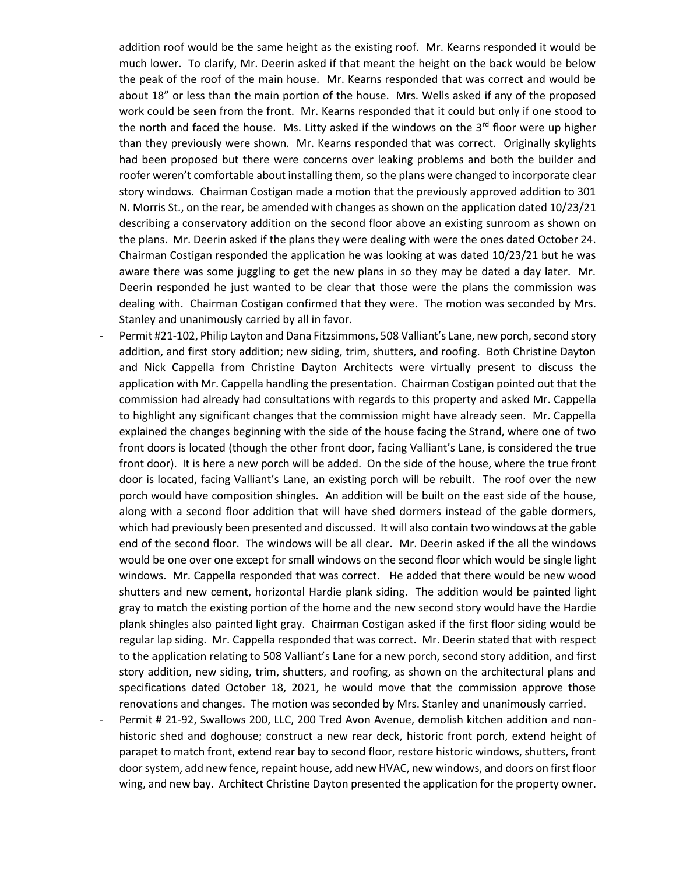addition roof would be the same height as the existing roof. Mr. Kearns responded it would be much lower. To clarify, Mr. Deerin asked if that meant the height on the back would be below the peak of the roof of the main house. Mr. Kearns responded that was correct and would be about 18" or less than the main portion of the house. Mrs. Wells asked if any of the proposed work could be seen from the front. Mr. Kearns responded that it could but only if one stood to the north and faced the house. Ms. Litty asked if the windows on the  $3<sup>rd</sup>$  floor were up higher than they previously were shown. Mr. Kearns responded that was correct. Originally skylights had been proposed but there were concerns over leaking problems and both the builder and roofer weren't comfortable about installing them, so the plans were changed to incorporate clear story windows. Chairman Costigan made a motion that the previously approved addition to 301 N. Morris St., on the rear, be amended with changes as shown on the application dated 10/23/21 describing a conservatory addition on the second floor above an existing sunroom as shown on the plans. Mr. Deerin asked if the plans they were dealing with were the ones dated October 24. Chairman Costigan responded the application he was looking at was dated 10/23/21 but he was aware there was some juggling to get the new plans in so they may be dated a day later. Mr. Deerin responded he just wanted to be clear that those were the plans the commission was dealing with. Chairman Costigan confirmed that they were. The motion was seconded by Mrs. Stanley and unanimously carried by all in favor.

- Permit #21-102, Philip Layton and Dana Fitzsimmons, 508 Valliant's Lane, new porch, second story addition, and first story addition; new siding, trim, shutters, and roofing. Both Christine Dayton and Nick Cappella from Christine Dayton Architects were virtually present to discuss the application with Mr. Cappella handling the presentation. Chairman Costigan pointed out that the commission had already had consultations with regards to this property and asked Mr. Cappella to highlight any significant changes that the commission might have already seen. Mr. Cappella explained the changes beginning with the side of the house facing the Strand, where one of two front doors is located (though the other front door, facing Valliant's Lane, is considered the true front door). It is here a new porch will be added. On the side of the house, where the true front door is located, facing Valliant's Lane, an existing porch will be rebuilt. The roof over the new porch would have composition shingles. An addition will be built on the east side of the house, along with a second floor addition that will have shed dormers instead of the gable dormers, which had previously been presented and discussed. It will also contain two windows at the gable end of the second floor. The windows will be all clear. Mr. Deerin asked if the all the windows would be one over one except for small windows on the second floor which would be single light windows. Mr. Cappella responded that was correct. He added that there would be new wood shutters and new cement, horizontal Hardie plank siding. The addition would be painted light gray to match the existing portion of the home and the new second story would have the Hardie plank shingles also painted light gray. Chairman Costigan asked if the first floor siding would be regular lap siding. Mr. Cappella responded that was correct. Mr. Deerin stated that with respect to the application relating to 508 Valliant's Lane for a new porch, second story addition, and first story addition, new siding, trim, shutters, and roofing, as shown on the architectural plans and specifications dated October 18, 2021, he would move that the commission approve those renovations and changes. The motion was seconded by Mrs. Stanley and unanimously carried.
- Permit # 21-92, Swallows 200, LLC, 200 Tred Avon Avenue, demolish kitchen addition and nonhistoric shed and doghouse; construct a new rear deck, historic front porch, extend height of parapet to match front, extend rear bay to second floor, restore historic windows, shutters, front door system, add new fence, repaint house, add new HVAC, new windows, and doors on first floor wing, and new bay. Architect Christine Dayton presented the application for the property owner.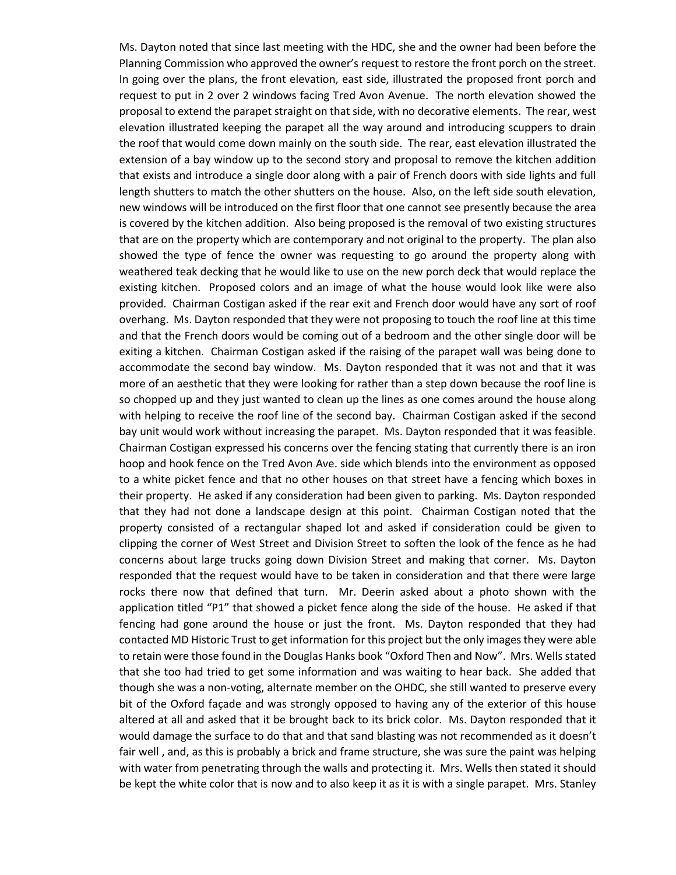Ms. Dayton noted that since last meeting with the HDC, she and the owner had been before the Planning Commission who approved the owner's request to restore the front porch on the street. In going over the plans, the front elevation, east side, illustrated the proposed front porch and request to put in 2 over 2 windows facing Tred Avon Avenue. The north elevation showed the proposal to extend the parapet straight on that side, with no decorative elements. The rear, west elevation illustrated keeping the parapet all the way around and introducing scuppers to drain the roof that would come down mainly on the south side. The rear, east elevation illustrated the extension of a bay window up to the second story and proposal to remove the kitchen addition that exists and introduce a single door along with a pair of French doors with side lights and full length shutters to match the other shutters on the house. Also, on the left side south elevation, new windows will be introduced on the first floor that one cannot see presently because the area is covered by the kitchen addition. Also being proposed is the removal of two existing structures that are on the property which are contemporary and not original to the property. The plan also showed the type of fence the owner was requesting to go around the property along with weathered teak decking that he would like to use on the new porch deck that would replace the existing kitchen. Proposed colors and an image of what the house would look like were also provided. Chairman Costigan asked if the rear exit and French door would have any sort of roof overhang. Ms. Dayton responded that they were not proposing to touch the roof line at this time and that the French doors would be coming out of a bedroom and the other single door will be exiting a kitchen. Chairman Costigan asked if the raising of the parapet wall was being done to accommodate the second bay window. Ms. Dayton responded that it was not and that it was more of an aesthetic that they were looking for rather than a step down because the roof line is so chopped up and they just wanted to clean up the lines as one comes around the house along with helping to receive the roof line of the second bay. Chairman Costigan asked if the second bay unit would work without increasing the parapet. Ms. Dayton responded that it was feasible. Chairman Costigan expressed his concerns over the fencing stating that currently there is an iron hoop and hook fence on the Tred Avon Ave. side which blends into the environment as opposed to a white picket fence and that no other houses on that street have a fencing which boxes in their property. He asked if any consideration had been given to parking. Ms. Dayton responded that they had not done a landscape design at this point. Chairman Costigan noted that the property consisted of a rectangular shaped lot and asked if consideration could be given to clipping the corner of West Street and Division Street to soften the look of the fence as he had concerns about large trucks going down Division Street and making that corner. Ms. Dayton responded that the request would have to be taken in consideration and that there were large rocks there now that defined that turn. Mr. Deerin asked about a photo shown with the application titled "P1" that showed a picket fence along the side of the house. He asked if that fencing had gone around the house or just the front. Ms. Dayton responded that they had contacted MD Historic Trust to get information for this project but the only images they were able to retain were those found in the Douglas Hanks book "Oxford Then and Now". Mrs. Wells stated that she too had tried to get some information and was waiting to hear back. She added that though she was a non-voting, alternate member on the OHDC, she still wanted to preserve every bit of the Oxford façade and was strongly opposed to having any of the exterior of this house altered at all and asked that it be brought back to its brick color. Ms. Dayton responded that it would damage the surface to do that and that sand blasting was not recommended as it doesn't fair well , and, as this is probably a brick and frame structure, she was sure the paint was helping with water from penetrating through the walls and protecting it. Mrs. Wells then stated it should be kept the white color that is now and to also keep it as it is with a single parapet. Mrs. Stanley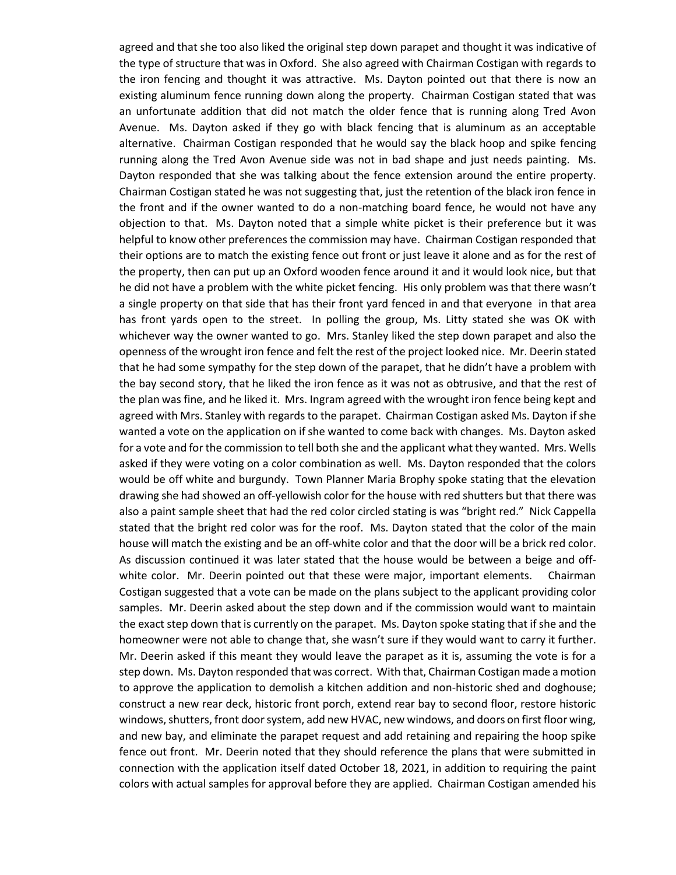agreed and that she too also liked the original step down parapet and thought it was indicative of the type of structure that was in Oxford. She also agreed with Chairman Costigan with regards to the iron fencing and thought it was attractive. Ms. Dayton pointed out that there is now an existing aluminum fence running down along the property. Chairman Costigan stated that was an unfortunate addition that did not match the older fence that is running along Tred Avon Avenue. Ms. Dayton asked if they go with black fencing that is aluminum as an acceptable alternative. Chairman Costigan responded that he would say the black hoop and spike fencing running along the Tred Avon Avenue side was not in bad shape and just needs painting. Ms. Dayton responded that she was talking about the fence extension around the entire property. Chairman Costigan stated he was not suggesting that, just the retention of the black iron fence in the front and if the owner wanted to do a non-matching board fence, he would not have any objection to that. Ms. Dayton noted that a simple white picket is their preference but it was helpful to know other preferences the commission may have. Chairman Costigan responded that their options are to match the existing fence out front or just leave it alone and as for the rest of the property, then can put up an Oxford wooden fence around it and it would look nice, but that he did not have a problem with the white picket fencing. His only problem was that there wasn't a single property on that side that has their front yard fenced in and that everyone in that area has front yards open to the street. In polling the group, Ms. Litty stated she was OK with whichever way the owner wanted to go. Mrs. Stanley liked the step down parapet and also the openness of the wrought iron fence and felt the rest of the project looked nice. Mr. Deerin stated that he had some sympathy for the step down of the parapet, that he didn't have a problem with the bay second story, that he liked the iron fence as it was not as obtrusive, and that the rest of the plan was fine, and he liked it. Mrs. Ingram agreed with the wrought iron fence being kept and agreed with Mrs. Stanley with regards to the parapet. Chairman Costigan asked Ms. Dayton if she wanted a vote on the application on if she wanted to come back with changes. Ms. Dayton asked for a vote and for the commission to tell both she and the applicant what they wanted. Mrs. Wells asked if they were voting on a color combination as well. Ms. Dayton responded that the colors would be off white and burgundy. Town Planner Maria Brophy spoke stating that the elevation drawing she had showed an off-yellowish color for the house with red shutters but that there was also a paint sample sheet that had the red color circled stating is was "bright red." Nick Cappella stated that the bright red color was for the roof. Ms. Dayton stated that the color of the main house will match the existing and be an off-white color and that the door will be a brick red color. As discussion continued it was later stated that the house would be between a beige and offwhite color. Mr. Deerin pointed out that these were major, important elements. Chairman Costigan suggested that a vote can be made on the plans subject to the applicant providing color samples. Mr. Deerin asked about the step down and if the commission would want to maintain the exact step down that is currently on the parapet. Ms. Dayton spoke stating that if she and the homeowner were not able to change that, she wasn't sure if they would want to carry it further. Mr. Deerin asked if this meant they would leave the parapet as it is, assuming the vote is for a step down. Ms. Dayton responded that was correct. With that, Chairman Costigan made a motion to approve the application to demolish a kitchen addition and non-historic shed and doghouse; construct a new rear deck, historic front porch, extend rear bay to second floor, restore historic windows, shutters, front door system, add new HVAC, new windows, and doors on first floor wing, and new bay, and eliminate the parapet request and add retaining and repairing the hoop spike fence out front. Mr. Deerin noted that they should reference the plans that were submitted in connection with the application itself dated October 18, 2021, in addition to requiring the paint colors with actual samples for approval before they are applied. Chairman Costigan amended his